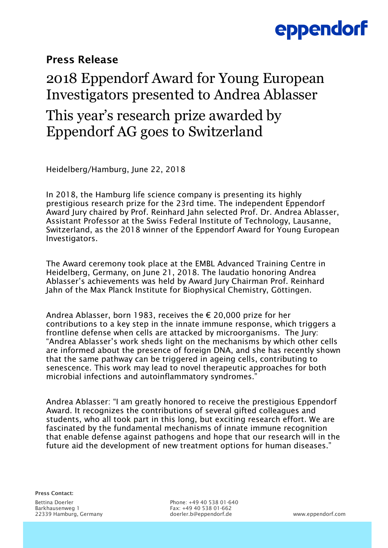# eppendorf

### Press Release

## 2018 Eppendorf Award for Young European Investigators presented to Andrea Ablasser This year's research prize awarded by Eppendorf AG goes to Switzerland

Heidelberg/Hamburg, June 22, 2018

In 2018, the Hamburg life science company is presenting its highly prestigious research prize for the 23rd time. The independent Eppendorf Award Jury chaired by Prof. Reinhard Jahn selected Prof. Dr. Andrea Ablasser, Assistant Professor at the Swiss Federal Institute of Technology, Lausanne, Switzerland, as the 2018 winner of the Eppendorf Award for Young European Investigators.

The Award ceremony took place at the EMBL Advanced Training Centre in Heidelberg, Germany, on June 21, 2018. The laudatio honoring Andrea Ablasser's achievements was held by Award Jury Chairman Prof. Reinhard Jahn of the Max Planck Institute for Biophysical Chemistry, Göttingen.

Andrea Ablasser, born 1983, receives the € 20,000 prize for her contributions to a key step in the innate immune response, which triggers a frontline defense when cells are attacked by microorganisms. The Jury: "Andrea Ablasser's work sheds light on the mechanisms by which other cells are informed about the presence of foreign DNA, and she has recently shown that the same pathway can be triggered in ageing cells, contributing to senescence. This work may lead to novel therapeutic approaches for both microbial infections and autoinflammatory syndromes."

Andrea Ablasser: "I am greatly honored to receive the prestigious Eppendorf Award. It recognizes the contributions of several gifted colleagues and students, who all took part in this long, but exciting research effort. We are fascinated by the fundamental mechanisms of innate immune recognition that enable defense against pathogens and hope that our research will in the future aid the development of new treatment options for human diseases."

Press Contact:

Bettina Doerler Phone: +49 40 538 01-640 Fax: +49 40 538 01-662 22339 Hamburg, Germany doerler.b@eppendorf.de www.eppendorf.com